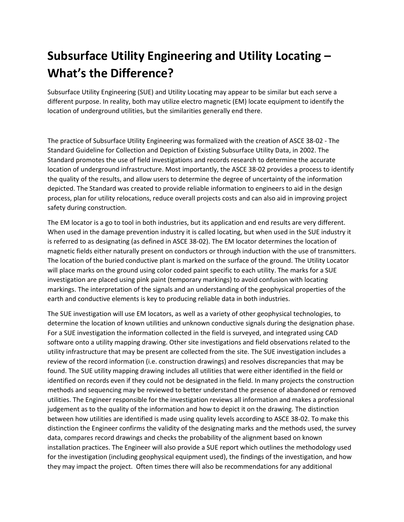## **Subsurface Utility Engineering and Utility Locating – What's the Difference?**

Subsurface Utility Engineering (SUE) and Utility Locating may appear to be similar but each serve a different purpose. In reality, both may utilize electro magnetic (EM) locate equipment to identify the location of underground utilities, but the similarities generally end there.

The practice of Subsurface Utility Engineering was formalized with the creation of ASCE 38-02 - The Standard Guideline for Collection and Depiction of Existing Subsurface Utility Data, in 2002. The Standard promotes the use of field investigations and records research to determine the accurate location of underground infrastructure. Most importantly, the ASCE 38-02 provides a process to identify the quality of the results, and allow users to determine the degree of uncertainty of the information depicted. The Standard was created to provide reliable information to engineers to aid in the design process, plan for utility relocations, reduce overall projects costs and can also aid in improving project safety during construction.

The EM locator is a go to tool in both industries, but its application and end results are very different. When used in the damage prevention industry it is called locating, but when used in the SUE industry it is referred to as designating (as defined in ASCE 38-02). The EM locator determines the location of magnetic fields either naturally present on conductors or through induction with the use of transmitters. The location of the buried conductive plant is marked on the surface of the ground. The Utility Locator will place marks on the ground using color coded paint specific to each utility. The marks for a SUE investigation are placed using pink paint (temporary markings) to avoid confusion with locating markings. The interpretation of the signals and an understanding of the geophysical properties of the earth and conductive elements is key to producing reliable data in both industries.

The SUE investigation will use EM locators, as well as a variety of other geophysical technologies, to determine the location of known utilities and unknown conductive signals during the designation phase. For a SUE investigation the information collected in the field is surveyed, and integrated using CAD software onto a utility mapping drawing. Other site investigations and field observations related to the utility infrastructure that may be present are collected from the site. The SUE investigation includes a review of the record information (i.e. construction drawings) and resolves discrepancies that may be found. The SUE utility mapping drawing includes all utilities that were either identified in the field or identified on records even if they could not be designated in the field. In many projects the construction methods and sequencing may be reviewed to better understand the presence of abandoned or removed utilities. The Engineer responsible for the investigation reviews all information and makes a professional judgement as to the quality of the information and how to depict it on the drawing. The distinction between how utilities are identified is made using quality levels according to ASCE 38-02. To make this distinction the Engineer confirms the validity of the designating marks and the methods used, the survey data, compares record drawings and checks the probability of the alignment based on known installation practices. The Engineer will also provide a SUE report which outlines the methodology used for the investigation (including geophysical equipment used), the findings of the investigation, and how they may impact the project. Often times there will also be recommendations for any additional